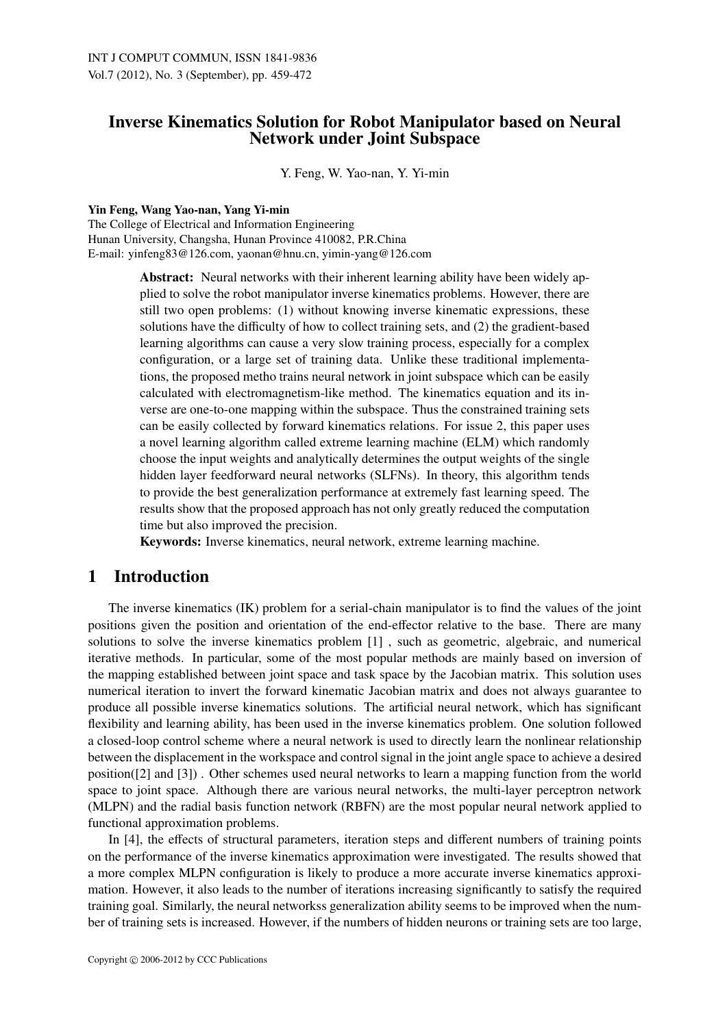# Inverse Kinematics Solution for Robot Manipulator based on Neural Network under Joint Subspace

Y. Feng, W. Yao-nan, Y. Yi-min

Yin Feng, Wang Yao-nan, Yang Yi-min

The College of Electrical and Information Engineering Hunan University, Changsha, Hunan Province 410082, P.R.China E-mail: yinfeng83@126.com, yaonan@hnu.cn, yimin-yang@126.com

> Abstract: Neural networks with their inherent learning ability have been widely applied to solve the robot manipulator inverse kinematics problems. However, there are still two open problems: (1) without knowing inverse kinematic expressions, these solutions have the difficulty of how to collect training sets, and (2) the gradient-based learning algorithms can cause a very slow training process, especially for a complex configuration, or a large set of training data. Unlike these traditional implementations, the proposed metho trains neural network in joint subspace which can be easily calculated with electromagnetism-like method. The kinematics equation and its inverse are one-to-one mapping within the subspace. Thus the constrained training sets can be easily collected by forward kinematics relations. For issue 2, this paper uses a novel learning algorithm called extreme learning machine (ELM) which randomly choose the input weights and analytically determines the output weights of the single hidden layer feedforward neural networks (SLFNs). In theory, this algorithm tends to provide the best generalization performance at extremely fast learning speed. The results show that the proposed approach has not only greatly reduced the computation time but also improved the precision.

Keywords: Inverse kinematics, neural network, extreme learning machine.

### 1 Introduction

The inverse kinematics (IK) problem for a serial-chain manipulator is to find the values of the joint positions given the position and orientation of the end-effector relative to the base. There are many solutions to solve the inverse kinematics problem [1] , such as geometric, algebraic, and numerical iterative methods. In particular, some of the most popular methods are mainly based on inversion of the mapping established between joint space and task space by the Jacobian matrix. This solution uses numerical iteration to invert the forward kinematic Jacobian matrix and does not always guarantee to produce all possible inverse kinematics solutions. The artificial neural network, which has significant flexibility and learning ability, has been used in the inverse kinematics problem. One solution followed a closed-loop control scheme where a neural network is used to directly learn the nonlinear relationship between the displacement in the workspace and control signal in the joint angle space to achieve a desired position([2] and [3]) . Other schemes used neural networks to learn a mapping function from the world space to joint space. Although there are various neural networks, the multi-layer perceptron network (MLPN) and the radial basis function network (RBFN) are the most popular neural network applied to functional approximation problems.

In [4], the effects of structural parameters, iteration steps and different numbers of training points on the performance of the inverse kinematics approximation were investigated. The results showed that a more complex MLPN configuration is likely to produce a more accurate inverse kinematics approximation. However, it also leads to the number of iterations increasing significantly to satisfy the required training goal. Similarly, the neural networkss generalization ability seems to be improved when the number of training sets is increased. However, if the numbers of hidden neurons or training sets are too large,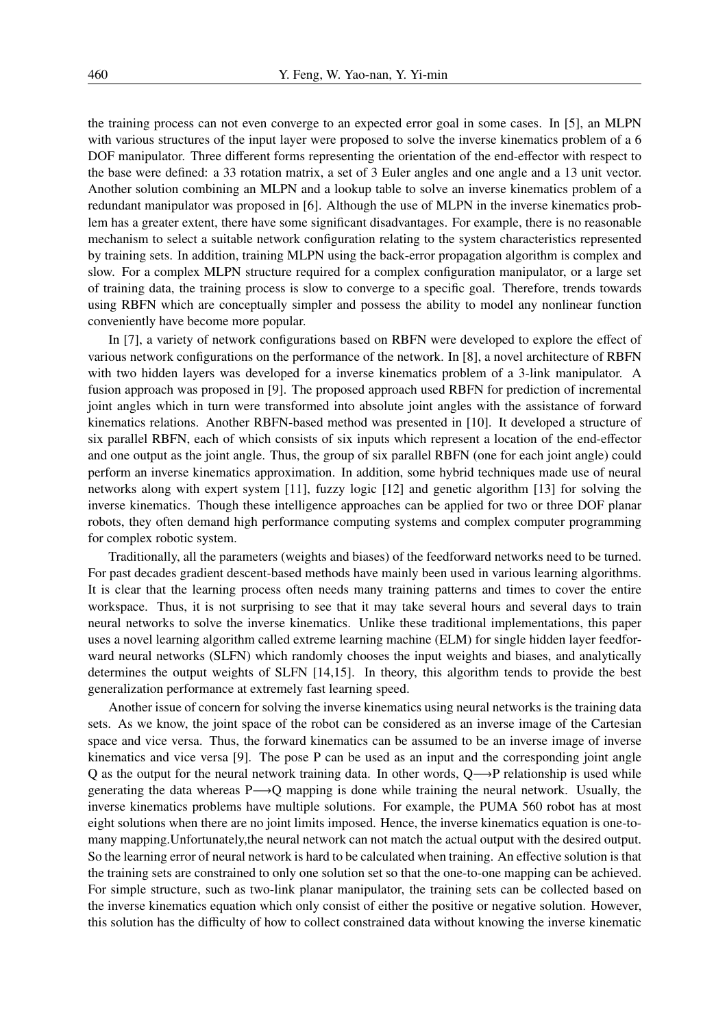the training process can not even converge to an expected error goal in some cases. In [5], an MLPN with various structures of the input layer were proposed to solve the inverse kinematics problem of a 6 DOF manipulator. Three different forms representing the orientation of the end-effector with respect to the base were defined: a 33 rotation matrix, a set of 3 Euler angles and one angle and a 13 unit vector. Another solution combining an MLPN and a lookup table to solve an inverse kinematics problem of a redundant manipulator was proposed in [6]. Although the use of MLPN in the inverse kinematics problem has a greater extent, there have some significant disadvantages. For example, there is no reasonable mechanism to select a suitable network configuration relating to the system characteristics represented by training sets. In addition, training MLPN using the back-error propagation algorithm is complex and slow. For a complex MLPN structure required for a complex configuration manipulator, or a large set of training data, the training process is slow to converge to a specific goal. Therefore, trends towards using RBFN which are conceptually simpler and possess the ability to model any nonlinear function conveniently have become more popular.

In [7], a variety of network configurations based on RBFN were developed to explore the effect of various network configurations on the performance of the network. In [8], a novel architecture of RBFN with two hidden layers was developed for a inverse kinematics problem of a 3-link manipulator. A fusion approach was proposed in [9]. The proposed approach used RBFN for prediction of incremental joint angles which in turn were transformed into absolute joint angles with the assistance of forward kinematics relations. Another RBFN-based method was presented in [10]. It developed a structure of six parallel RBFN, each of which consists of six inputs which represent a location of the end-effector and one output as the joint angle. Thus, the group of six parallel RBFN (one for each joint angle) could perform an inverse kinematics approximation. In addition, some hybrid techniques made use of neural networks along with expert system [11], fuzzy logic [12] and genetic algorithm [13] for solving the inverse kinematics. Though these intelligence approaches can be applied for two or three DOF planar robots, they often demand high performance computing systems and complex computer programming for complex robotic system.

Traditionally, all the parameters (weights and biases) of the feedforward networks need to be turned. For past decades gradient descent-based methods have mainly been used in various learning algorithms. It is clear that the learning process often needs many training patterns and times to cover the entire workspace. Thus, it is not surprising to see that it may take several hours and several days to train neural networks to solve the inverse kinematics. Unlike these traditional implementations, this paper uses a novel learning algorithm called extreme learning machine (ELM) for single hidden layer feedforward neural networks (SLFN) which randomly chooses the input weights and biases, and analytically determines the output weights of SLFN [14,15]. In theory, this algorithm tends to provide the best generalization performance at extremely fast learning speed.

Another issue of concern for solving the inverse kinematics using neural networks is the training data sets. As we know, the joint space of the robot can be considered as an inverse image of the Cartesian space and vice versa. Thus, the forward kinematics can be assumed to be an inverse image of inverse kinematics and vice versa [9]. The pose P can be used as an input and the corresponding joint angle Q as the output for the neural network training data. In other words, Q—→P relationship is used while generating the data whereas P→Q mapping is done while training the neural network. Usually, the inverse kinematics problems have multiple solutions. For example, the PUMA 560 robot has at most eight solutions when there are no joint limits imposed. Hence, the inverse kinematics equation is one-tomany mapping.Unfortunately,the neural network can not match the actual output with the desired output. So the learning error of neural network is hard to be calculated when training. An effective solution is that the training sets are constrained to only one solution set so that the one-to-one mapping can be achieved. For simple structure, such as two-link planar manipulator, the training sets can be collected based on the inverse kinematics equation which only consist of either the positive or negative solution. However, this solution has the difficulty of how to collect constrained data without knowing the inverse kinematic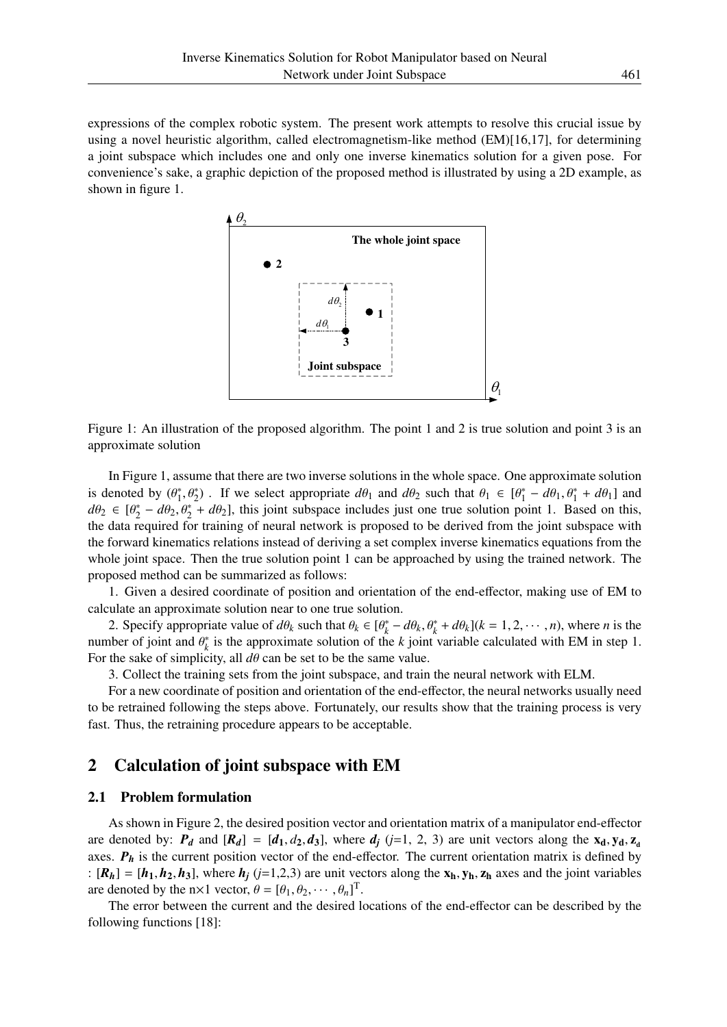expressions of the complex robotic system. The present work attempts to resolve this crucial issue by using a novel heuristic algorithm, called electromagnetism-like method (EM)[16,17], for determining a joint subspace which includes one and only one inverse kinematics solution for a given pose. For convenience's sake, a graphic depiction of the proposed method is illustrated by using a 2D example, as shown in figure 1.



Figure 1: An illustration of the proposed algorithm. The point 1 and 2 is true solution and point 3 is an approximate solution

In Figure 1, assume that there are two inverse solutions in the whole space. One approximate solution is denoted by  $(\theta_1^*)$ <sup>\*</sup><sub>1</sub>,  $\theta_2^*$ ). If we select appropriate  $d\theta_1$  and  $d\theta_2$  such that  $\theta_1 \in [\theta_1^*]$  $\theta_1^* - d\theta_1$ ,  $\theta_1^* + d\theta_1$  and  $d\theta_2 \in [\theta_2^*]$  $\mu_2^*$  –  $d\theta_2$ ,  $\theta_2^*$  +  $d\theta_2$ ], this joint subspace includes just one true solution point 1. Based on this, the data required for training of neural network is proposed to be derived from the joint subspace with the forward kinematics relations instead of deriving a set complex inverse kinematics equations from the whole joint space. Then the true solution point 1 can be approached by using the trained network. The proposed method can be summarized as follows:

1. Given a desired coordinate of position and orientation of the end-effector, making use of EM to calculate an approximate solution near to one true solution.

2. Specify appropriate value of  $d\theta_k$  such that  $\theta_k \in [\theta_k^*]$  $\frac{1}{k} - d\theta_k$ ,  $\theta_k^* + d\theta_k$ ]( $k = 1, 2, \dots, n$ ), where *n* is the number of joint and  $\theta_k^*$  $\kappa_k^*$  is the approximate solution of the *k* joint variable calculated with EM in step 1. For the sake of simplicity, all  $d\theta$  can be set to be the same value.

3. Collect the training sets from the joint subspace, and train the neural network with ELM.

For a new coordinate of position and orientation of the end-effector, the neural networks usually need to be retrained following the steps above. Fortunately, our results show that the training process is very fast. Thus, the retraining procedure appears to be acceptable.

# 2 Calculation of joint subspace with EM

### 2.1 Problem formulation

As shown in Figure 2, the desired position vector and orientation matrix of a manipulator end-effector are denoted by:  $P_d$  and  $[R_d] = [d_1, d_2, d_3]$ , where  $d_j$  ( $j=1, 2, 3$ ) are unit vectors along the  $x_d, y_d, z_d$ axes.  $P_h$  is the current position vector of the end-effector. The current orientation matrix is defined by :  $[R_h] = [h_1, h_2, h_3]$ , where  $h_i$  ( $j=1,2,3$ ) are unit vectors along the  $x_h, y_h, z_h$  axes and the joint variables are denoted by the  $n \times 1$  vector,  $\theta = [\theta_1, \theta_2, \cdots, \theta_n]^T$ .

The error between the current and the desired locations of the end-effector can be described by the following functions [18]: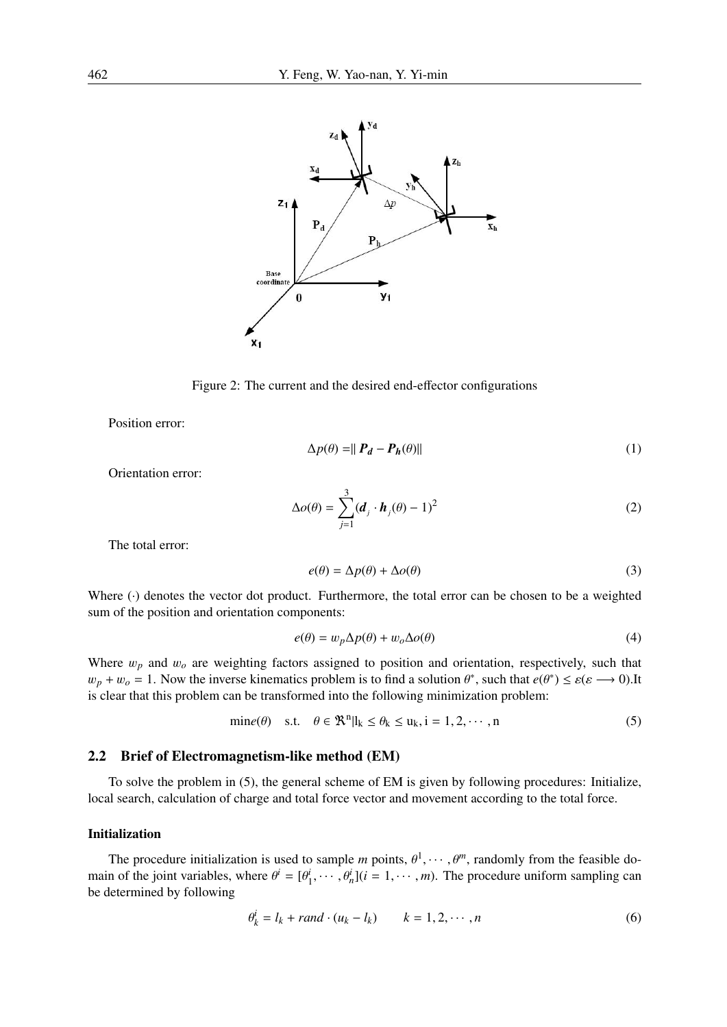

Figure 2: The current and the desired end-effector configurations

Position error:

$$
\Delta p(\theta) = ||\mathbf{P}_d - \mathbf{P}_h(\theta)|| \tag{1}
$$

Orientation error:

$$
\Delta o(\theta) = \sum_{j=1}^{3} (\boldsymbol{d}_j \cdot \boldsymbol{h}_j(\theta) - 1)^2
$$
 (2)

The total error:

$$
e(\theta) = \Delta p(\theta) + \Delta o(\theta) \tag{3}
$$

Where ( $\cdot$ ) denotes the vector dot product. Furthermore, the total error can be chosen to be a weighted sum of the position and orientation components:

$$
e(\theta) = w_p \Delta p(\theta) + w_o \Delta o(\theta) \tag{4}
$$

Where  $w_p$  and  $w_o$  are weighting factors assigned to position and orientation, respectively, such that  $w_p + w_o = 1$ . Now the inverse kinematics problem is to find a solution  $\theta^*$ , such that  $e(\theta^*) \leq \varepsilon(\varepsilon \longrightarrow 0)$ . It is clear that this problem can be transformed into the following minimization problem:

$$
\text{min}e(\theta) \quad \text{s.t.} \quad \theta \in \mathbb{R}^n | l_k \le \theta_k \le u_k, i = 1, 2, \cdots, n \tag{5}
$$

### 2.2 Brief of Electromagnetism-like method (EM)

To solve the problem in (5), the general scheme of EM is given by following procedures: Initialize, local search, calculation of charge and total force vector and movement according to the total force.

### Initialization

The procedure initialization is used to sample *m* points,  $\theta^1, \dots, \theta^m$ , randomly from the feasible domain of the joint variables, where  $\theta^i = [\theta_1^i, \dots, \theta_n^i]$  ( $i = 1, \dots, m$ ). The procedure uniform sampling can be determined by following

$$
\theta_k^i = l_k + rand \cdot (u_k - l_k) \qquad k = 1, 2, \cdots, n \tag{6}
$$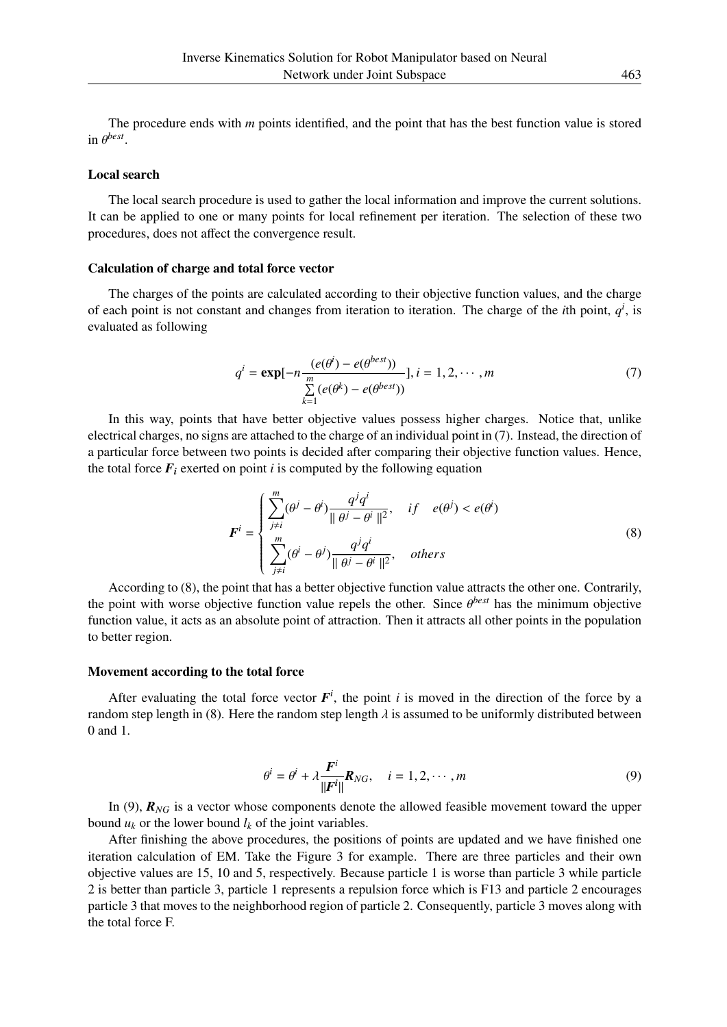The procedure ends with *m* points identified, and the point that has the best function value is stored in  $\theta^{best}$ .

#### Local search

The local search procedure is used to gather the local information and improve the current solutions. It can be applied to one or many points for local refinement per iteration. The selection of these two procedures, does not affect the convergence result.

#### Calculation of charge and total force vector

The charges of the points are calculated according to their objective function values, and the charge of each point is not constant and changes from iteration to iteration. The charge of the *i*th point,  $q<sup>i</sup>$ , is evaluated as following

$$
q^{i} = \exp[-n \frac{(e(\theta^{i}) - e(\theta^{best}))}{\sum_{k=1}^{m} (e(\theta^{k}) - e(\theta^{best}))}], i = 1, 2, \cdots, m
$$
(7)

In this way, points that have better objective values possess higher charges. Notice that, unlike electrical charges, no signs are attached to the charge of an individual point in (7). Instead, the direction of a particular force between two points is decided after comparing their objective function values. Hence, the total force  $F_i$  exerted on point *i* is computed by the following equation

$$
\mathbf{F}^{i} = \begin{cases} \sum_{j \neq i}^{m} (\theta^{j} - \theta^{i}) \frac{q^{j} q^{i}}{\|\theta^{j} - \theta^{i}\|^{2}}, & if \quad e(\theta^{j}) < e(\theta^{i}) \\ \sum_{j \neq i}^{m} (\theta^{i} - \theta^{j}) \frac{q^{j} q^{i}}{\|\theta^{j} - \theta^{i}\|^{2}}, & otherwise \end{cases}
$$
(8)

According to (8), the point that has a better objective function value attracts the other one. Contrarily, the point with worse objective function value repels the other. Since θ *best* has the minimum objective function value, it acts as an absolute point of attraction. Then it attracts all other points in the population to better region.

#### Movement according to the total force

After evaluating the total force vector  $F^i$ , the point *i* is moved in the direction of the force by a random step length in (8). Here the random step length  $\lambda$  is assumed to be uniformly distributed between 0 and 1.

$$
\theta^{i} = \theta^{i} + \lambda \frac{\mathbf{F}^{i}}{\|\mathbf{F}^{i}\|} \mathbf{R}_{NG}, \quad i = 1, 2, \cdots, m
$$
\n(9)

In (9),  $\mathbf{R}_{NG}$  is a vector whose components denote the allowed feasible movement toward the upper bound  $u_k$  or the lower bound  $l_k$  of the joint variables.

After finishing the above procedures, the positions of points are updated and we have finished one iteration calculation of EM. Take the Figure 3 for example. There are three particles and their own objective values are 15, 10 and 5, respectively. Because particle 1 is worse than particle 3 while particle 2 is better than particle 3, particle 1 represents a repulsion force which is F13 and particle 2 encourages particle 3 that moves to the neighborhood region of particle 2. Consequently, particle 3 moves along with the total force F.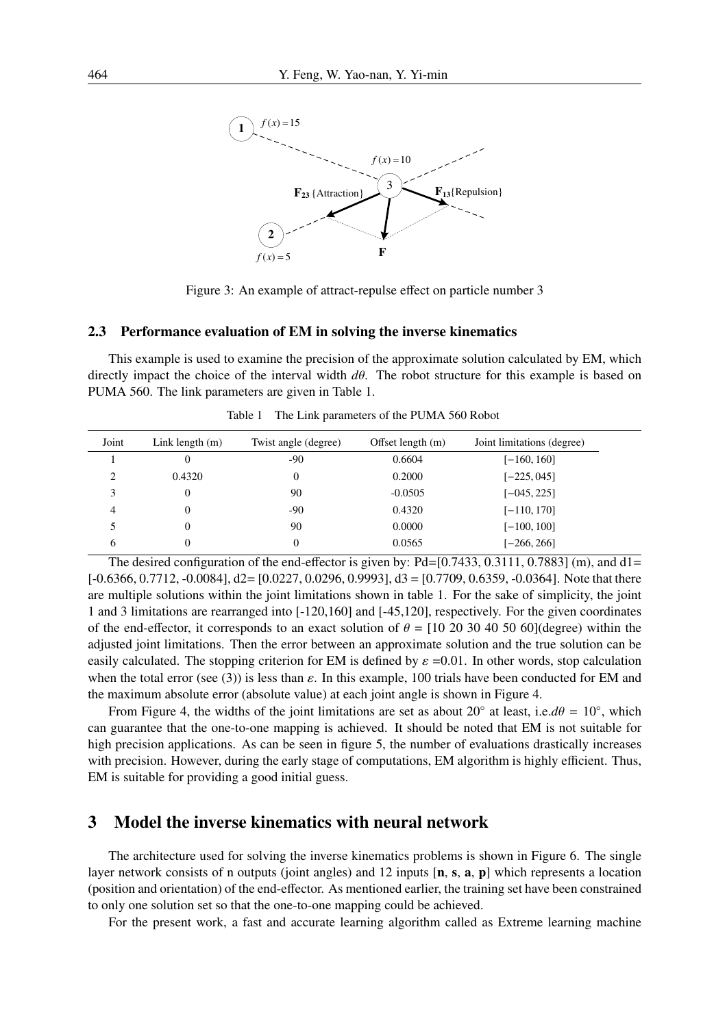

Figure 3: An example of attract-repulse effect on particle number 3

#### 2.3 Performance evaluation of EM in solving the inverse kinematics

This example is used to examine the precision of the approximate solution calculated by EM, which directly impact the choice of the interval width *d*θ. The robot structure for this example is based on PUMA 560. The link parameters are given in Table 1.

| Joint                         | Link length $(m)$ | Twist angle (degree) | Offset length $(m)$ | Joint limitations (degree) |
|-------------------------------|-------------------|----------------------|---------------------|----------------------------|
|                               | 0                 | -90                  | 0.6604              | [-160, 160]                |
| $\mathfrak{D}_{\mathfrak{p}}$ | 0.4320            | $\overline{0}$       | 0.2000              | $[-225, 045]$              |
|                               | 0                 | 90                   | $-0.0505$           | $[-045, 225]$              |
| 4                             | 0                 | -90                  | 0.4320              | $[-110, 170]$              |
|                               | 0                 | 90                   | 0.0000              | $[-100, 100]$              |
| 6                             | 0                 | $\overline{0}$       | 0.0565              | $[-266, 266]$              |

Table 1 The Link parameters of the PUMA 560 Robot

The desired configuration of the end-effector is given by:  $Pd=[0.7433, 0.3111, 0.7883]$  (m), and  $d1=$  $[-0.6366, 0.7712, -0.0084],$  d2=  $[0.0227, 0.0296, 0.9993],$  d3 =  $[0.7709, 0.6359, -0.0364]$ . Note that there are multiple solutions within the joint limitations shown in table 1. For the sake of simplicity, the joint 1 and 3 limitations are rearranged into [-120,160] and [-45,120], respectively. For the given coordinates of the end-effector, it corresponds to an exact solution of  $\theta = [10 20 30 40 50 60]$  (degree) within the adjusted joint limitations. Then the error between an approximate solution and the true solution can be easily calculated. The stopping criterion for EM is defined by  $\varepsilon$  =0.01. In other words, stop calculation when the total error (see (3)) is less than  $\varepsilon$ . In this example, 100 trials have been conducted for EM and the maximum absolute error (absolute value) at each joint angle is shown in Figure 4.

From Figure 4, the widths of the joint limitations are set as about 20<sup>°</sup> at least, i.e. $d\theta = 10^\circ$ , which can guarantee that the one-to-one mapping is achieved. It should be noted that EM is not suitable for high precision applications. As can be seen in figure 5, the number of evaluations drastically increases with precision. However, during the early stage of computations, EM algorithm is highly efficient. Thus, EM is suitable for providing a good initial guess.

## 3 Model the inverse kinematics with neural network

The architecture used for solving the inverse kinematics problems is shown in Figure 6. The single layer network consists of n outputs (joint angles) and 12 inputs [n, s, a, p] which represents a location (position and orientation) of the end-effector. As mentioned earlier, the training set have been constrained to only one solution set so that the one-to-one mapping could be achieved.

For the present work, a fast and accurate learning algorithm called as Extreme learning machine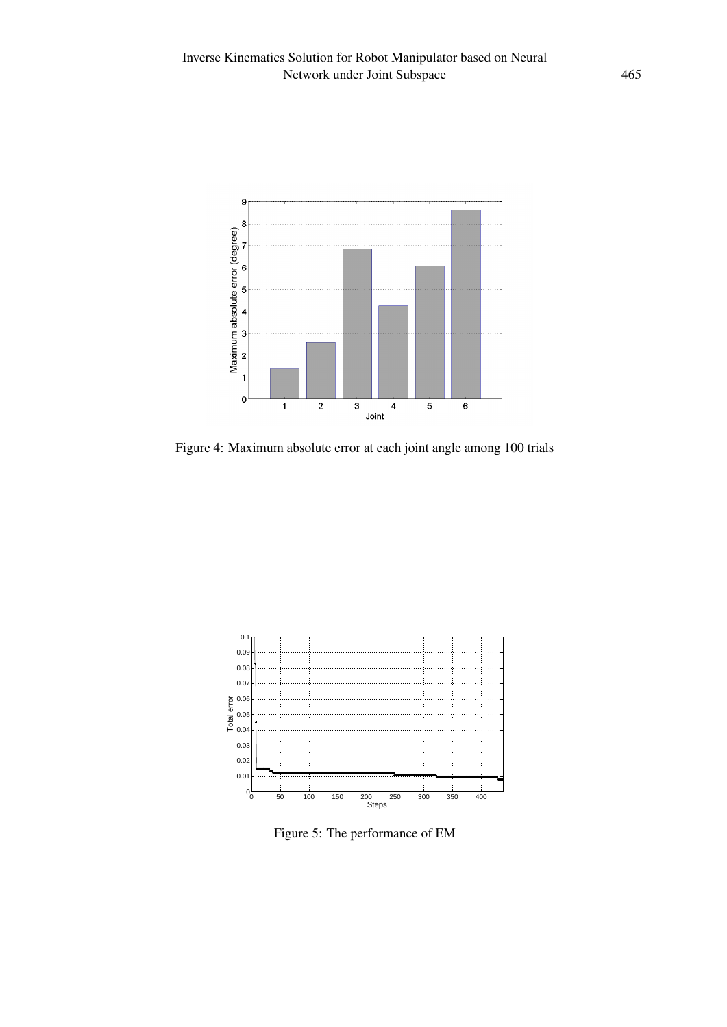

Figure 4: Maximum absolute error at each joint angle among 100 trials



Figure 5: The performance of EM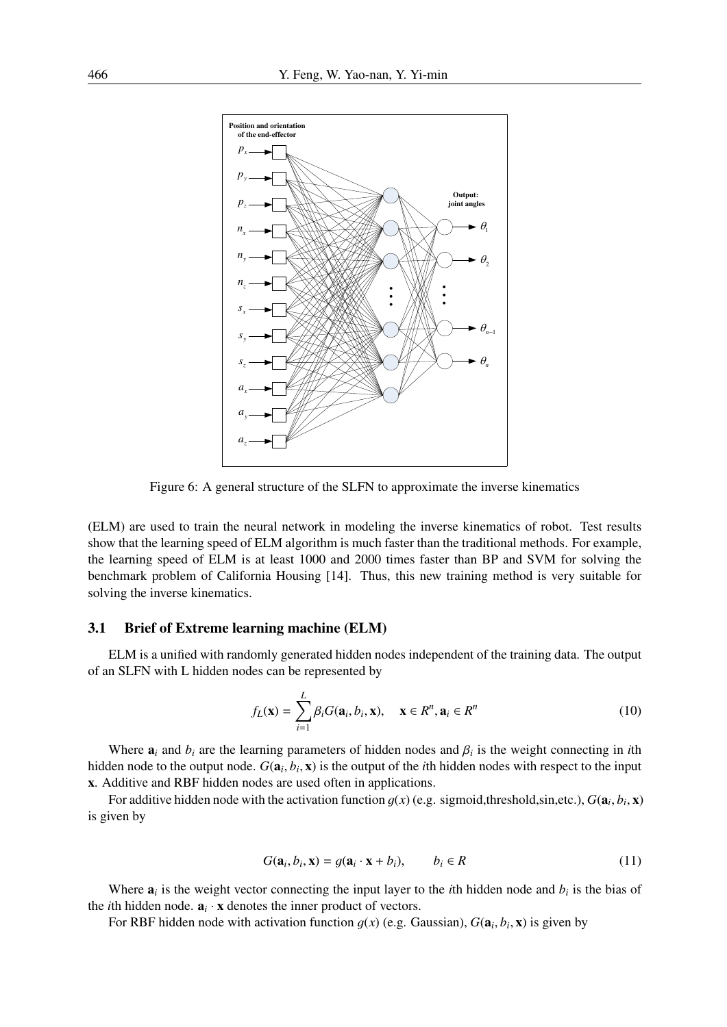

Figure 6: A general structure of the SLFN to approximate the inverse kinematics

(ELM) are used to train the neural network in modeling the inverse kinematics of robot. Test results show that the learning speed of ELM algorithm is much faster than the traditional methods. For example, the learning speed of ELM is at least 1000 and 2000 times faster than BP and SVM for solving the benchmark problem of California Housing [14]. Thus, this new training method is very suitable for solving the inverse kinematics.

#### 3.1 Brief of Extreme learning machine (ELM)

ELM is a unified with randomly generated hidden nodes independent of the training data. The output of an SLFN with L hidden nodes can be represented by

$$
f_L(\mathbf{x}) = \sum_{i=1}^{L} \beta_i G(\mathbf{a}_i, b_i, \mathbf{x}), \quad \mathbf{x} \in R^n, \mathbf{a}_i \in R^n
$$
 (10)

Where  $a_i$  and  $b_i$  are the learning parameters of hidden nodes and  $\beta_i$  is the weight connecting in *i*th hidden node to the output node.  $G(\mathbf{a}_i, b_i, \mathbf{x})$  is the output of the *i*th hidden nodes with respect to the input x. Additive and RBF hidden nodes are used often in applications.

For additive hidden node with the activation function  $g(x)$  (e.g. sigmoid, threshold, sin, etc.),  $G(\mathbf{a}_i, b_i, \mathbf{x})$ is given by

$$
G(\mathbf{a}_i, b_i, \mathbf{x}) = g(\mathbf{a}_i \cdot \mathbf{x} + b_i), \qquad b_i \in R
$$
\n(11)

Where  $a_i$  is the weight vector connecting the input layer to the *i*th hidden node and  $b_i$  is the bias of the *i*th hidden node.  $\mathbf{a}_i \cdot \mathbf{x}$  denotes the inner product of vectors.

For RBF hidden node with activation function  $g(x)$  (e.g. Gaussian),  $G(\mathbf{a}_i, b_i, \mathbf{x})$  is given by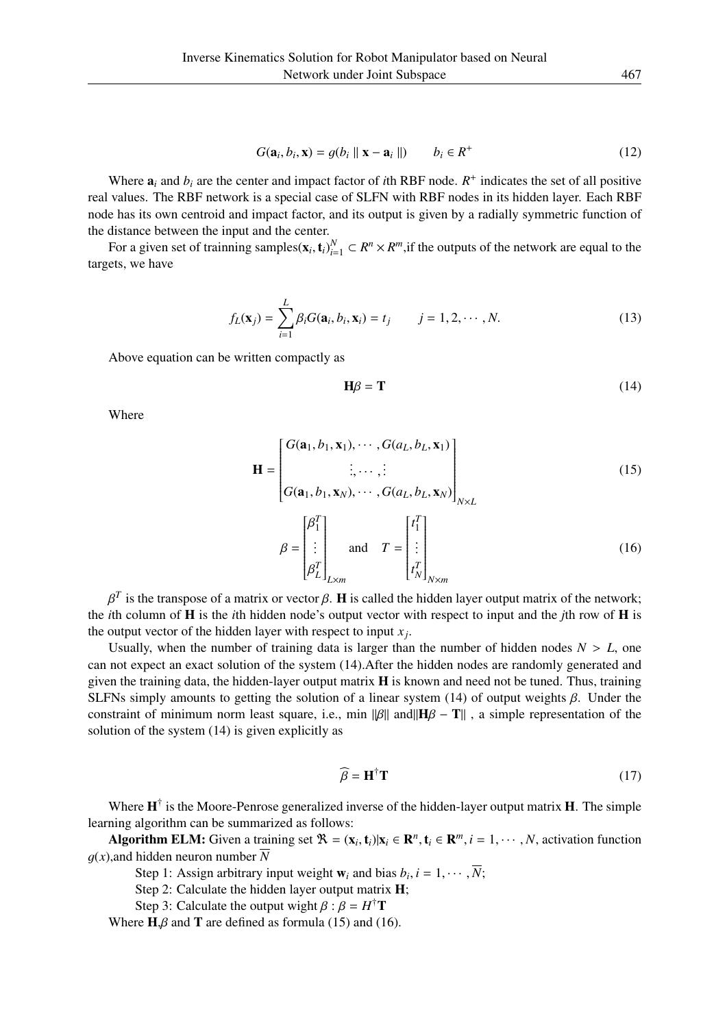$$
G(\mathbf{a}_i, b_i, \mathbf{x}) = g(b_i \parallel \mathbf{x} - \mathbf{a}_i \parallel) \qquad b_i \in R^+ \tag{12}
$$

Where  $a_i$  and  $b_i$  are the center and impact factor of *i*th RBF node.  $R^+$  indicates the set of all positive real values. The RBF network is a special case of SLFN with RBF nodes in its hidden layer. Each RBF node has its own centroid and impact factor, and its output is given by a radially symmetric function of the distance between the input and the center.

For a given set of trainning samples( $\mathbf{x}_i$ ,  $\mathbf{t}_i$ ) $_{i=1}^N \subset R^n \times R^m$ , if the outputs of the network are equal to the targets, we have

$$
f_L(\mathbf{x}_j) = \sum_{i=1}^L \beta_i G(\mathbf{a}_i, b_i, \mathbf{x}_i) = t_j \qquad j = 1, 2, \cdots, N. \tag{13}
$$

Above equation can be written compactly as

$$
\mathbf{H}\boldsymbol{\beta} = \mathbf{T} \tag{14}
$$

Where

$$
\mathbf{H} = \begin{bmatrix} G(\mathbf{a}_1, b_1, \mathbf{x}_1), \cdots, G(a_L, b_L, \mathbf{x}_1) \\ \vdots, \cdots, \vdots \\ G(\mathbf{a}_1, b_1, \mathbf{x}_N), \cdots, G(a_L, b_L, \mathbf{x}_N) \end{bmatrix}_{N \times L}
$$
(15)  

$$
\beta = \begin{bmatrix} \beta_1^T \\ \vdots \\ \beta_L^T \end{bmatrix}_{L \times m} \text{ and } T = \begin{bmatrix} t_1^T \\ \vdots \\ t_N^T \end{bmatrix}_{N \times m}
$$
(16)

*t T N*

$$
P^T L_{1Lxm} = P^T L_{1Nxm}
$$
  
\n
$$
\beta^T
$$
 is the transpose of a matrix or vector  $\beta$ . **H** is called the hidden layer output matrix of the network; the *i*th column of **H** is the *i*th hidden node's output vector with respect to input and the *j*th row of **H** is the output vector of the hidden layer with respect to input *x*<sub>j</sub>.

 $\beta^T_L$ 

Usually, when the number of training data is larger than the number of hidden nodes  $N > L$ , one can not expect an exact solution of the system (14).After the hidden nodes are randomly generated and given the training data, the hidden-layer output matrix  $\bf{H}$  is known and need not be tuned. Thus, training SLFNs simply amounts to getting the solution of a linear system (14) of output weights  $\beta$ . Under the constraint of minimum norm least square, i.e., min ||β|| and|| $H\beta - T||$ , a simple representation of the solution of the system (14) is given explicitly as

$$
\widehat{\beta} = \mathbf{H}^{\dagger} \mathbf{T} \tag{17}
$$

Where  $H^{\dagger}$  is the Moore-Penrose generalized inverse of the hidden-layer output matrix H. The simple learning algorithm can be summarized as follows:

Algorithm ELM: Given a training set  $\mathbb{R} = (\mathbf{x}_i, \mathbf{t}_i)|\mathbf{x}_i \in \mathbb{R}^n, \mathbf{t}_i \in \mathbb{R}^m, i = 1, \cdots, N$ , activation function  $q(x)$ , and hidden neuron number  $\overline{N}$ 

Step 1: Assign arbitrary input weight  $w_i$  and bias  $b_i$ ,  $i = 1, \dots, \overline{N}$ ;

Step 2: Calculate the hidden layer output matrix **H**;

Step 3: Calculate the output wight  $\beta$  :  $\beta = H^{\dagger}$ **T** 

Where  $H, \beta$  and T are defined as formula (15) and (16).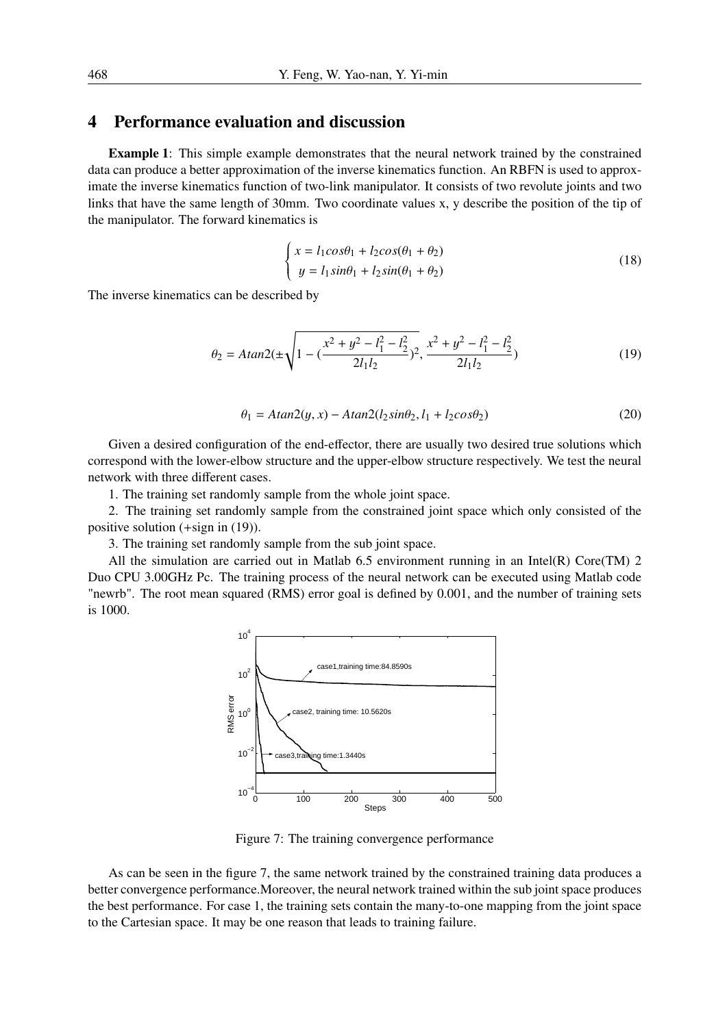### 4 Performance evaluation and discussion

Example 1: This simple example demonstrates that the neural network trained by the constrained data can produce a better approximation of the inverse kinematics function. An RBFN is used to approximate the inverse kinematics function of two-link manipulator. It consists of two revolute joints and two links that have the same length of 30mm. Two coordinate values x, y describe the position of the tip of the manipulator. The forward kinematics is

$$
\begin{cases}\nx = l_1 \cos \theta_1 + l_2 \cos(\theta_1 + \theta_2) \\
y = l_1 \sin \theta_1 + l_2 \sin(\theta_1 + \theta_2)\n\end{cases}
$$
\n(18)

The inverse kinematics can be described by

$$
\theta_2 = A \tan 2(\pm \sqrt{1 - (\frac{x^2 + y^2 - l_1^2 - l_2^2}{2l_1l_2})^2}, \frac{x^2 + y^2 - l_1^2 - l_2^2}{2l_1l_2})
$$
(19)

$$
\theta_1 = A \tan 2(y, x) - A \tan 2(l_2 \sin \theta_2, l_1 + l_2 \cos \theta_2)
$$
\n(20)

Given a desired configuration of the end-effector, there are usually two desired true solutions which correspond with the lower-elbow structure and the upper-elbow structure respectively. We test the neural network with three different cases.

1. The training set randomly sample from the whole joint space.

2. The training set randomly sample from the constrained joint space which only consisted of the positive solution (+sign in (19)).

3. The training set randomly sample from the sub joint space.

All the simulation are carried out in Matlab 6.5 environment running in an Intel(R) Core(TM) 2 Duo CPU 3.00GHz Pc. The training process of the neural network can be executed using Matlab code "newrb". The root mean squared (RMS) error goal is defined by 0.001, and the number of training sets is 1000.



Figure 7: The training convergence performance

As can be seen in the figure 7, the same network trained by the constrained training data produces a better convergence performance.Moreover, the neural network trained within the sub joint space produces the best performance. For case 1, the training sets contain the many-to-one mapping from the joint space to the Cartesian space. It may be one reason that leads to training failure.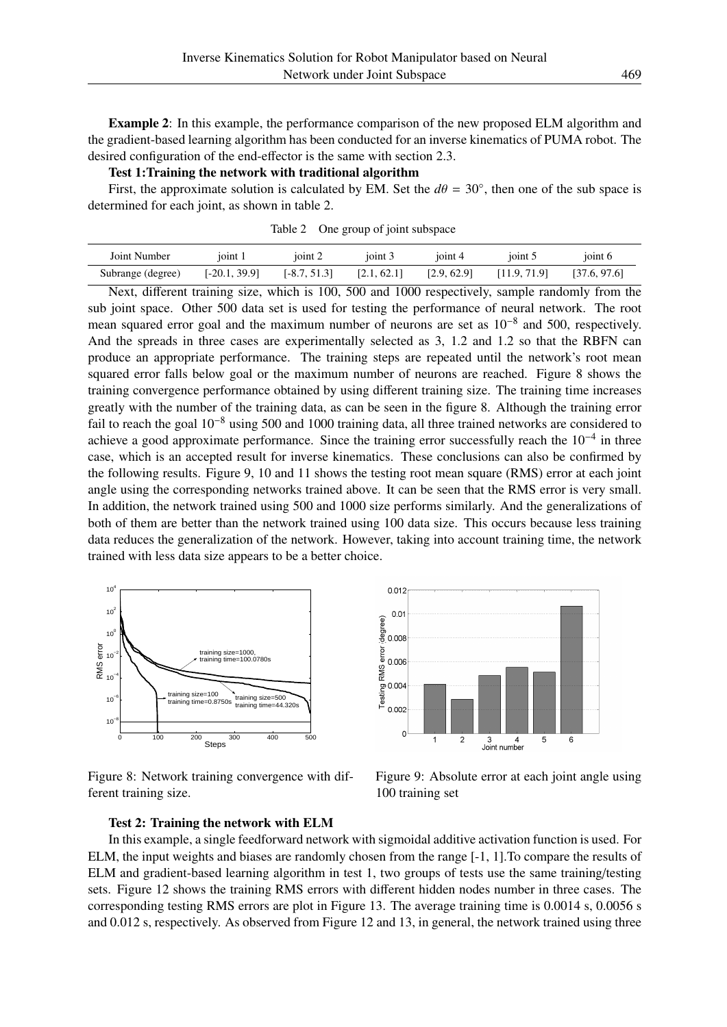Example 2: In this example, the performance comparison of the new proposed ELM algorithm and the gradient-based learning algorithm has been conducted for an inverse kinematics of PUMA robot. The desired configuration of the end-effector is the same with section 2.3.

Test 1:Training the network with traditional algorithm

First, the approximate solution is calculated by EM. Set the  $d\theta = 30^{\circ}$ , then one of the sub space is determined for each joint, as shown in table 2.

| Joint Number      | ioint 1      | ioint 2        | ioint 3     | ioint 4     | 101 <sub>nt</sub> | ioint 6      |
|-------------------|--------------|----------------|-------------|-------------|-------------------|--------------|
| Subrange (degree) | [-20.1.39.9] | $[-8.7, 51.3]$ | [2.1, 62.1] | [2.9, 62.9] | [11.9, 71.9]      | [37.6, 97.6] |

Table 2 One group of joint subspace

Next, different training size, which is 100, 500 and 1000 respectively, sample randomly from the sub joint space. Other 500 data set is used for testing the performance of neural network. The root mean squared error goal and the maximum number of neurons are set as 10<sup>-8</sup> and 500, respectively. And the spreads in three cases are experimentally selected as 3, 1.2 and 1.2 so that the RBFN can produce an appropriate performance. The training steps are repeated until the network's root mean squared error falls below goal or the maximum number of neurons are reached. Figure 8 shows the training convergence performance obtained by using different training size. The training time increases greatly with the number of the training data, as can be seen in the figure 8. Although the training error fail to reach the goal 10−<sup>8</sup> using 500 and 1000 training data, all three trained networks are considered to achieve a good approximate performance. Since the training error successfully reach the 10<sup>-4</sup> in three case, which is an accepted result for inverse kinematics. These conclusions can also be confirmed by the following results. Figure 9, 10 and 11 shows the testing root mean square (RMS) error at each joint angle using the corresponding networks trained above. It can be seen that the RMS error is very small. In addition, the network trained using 500 and 1000 size performs similarly. And the generalizations of both of them are better than the network trained using 100 data size. This occurs because less training data reduces the generalization of the network. However, taking into account training time, the network trained with less data size appears to be a better choice.



Figure 8: Network training convergence with different training size.



Figure 9: Absolute error at each joint angle using 100 training set

#### Test 2: Training the network with ELM

In this example, a single feedforward network with sigmoidal additive activation function is used. For ELM, the input weights and biases are randomly chosen from the range [-1, 1].To compare the results of ELM and gradient-based learning algorithm in test 1, two groups of tests use the same training/testing sets. Figure 12 shows the training RMS errors with different hidden nodes number in three cases. The corresponding testing RMS errors are plot in Figure 13. The average training time is 0.0014 s, 0.0056 s and 0.012 s, respectively. As observed from Figure 12 and 13, in general, the network trained using three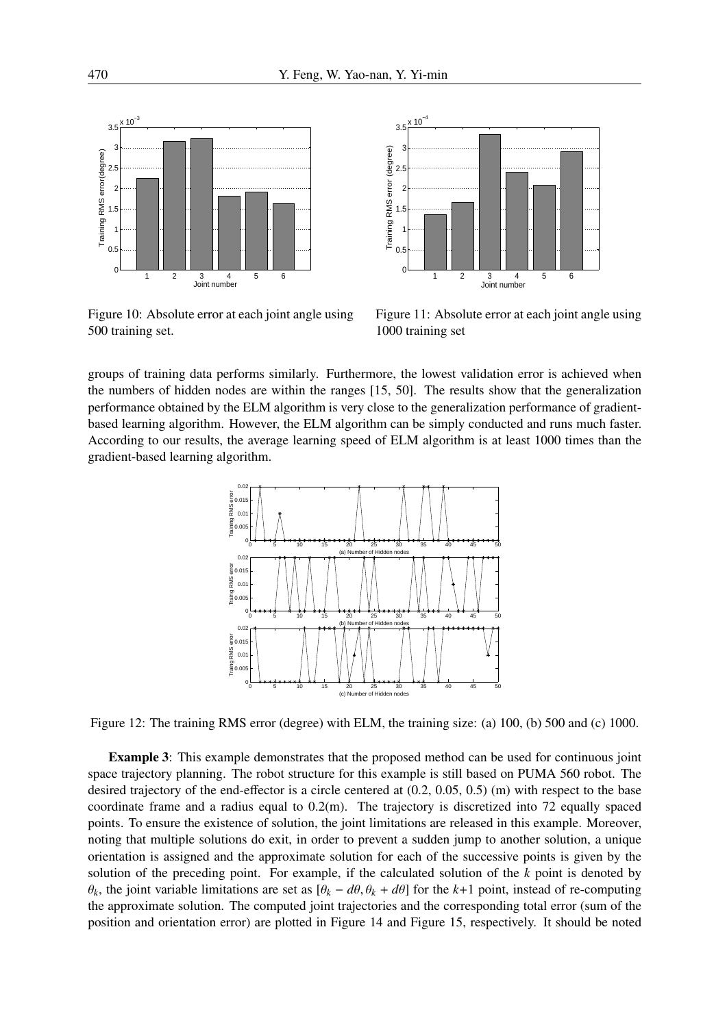

Figure 10: Absolute error at each joint angle using 500 training set.



Figure 11: Absolute error at each joint angle using 1000 training set

groups of training data performs similarly. Furthermore, the lowest validation error is achieved when the numbers of hidden nodes are within the ranges [15, 50]. The results show that the generalization performance obtained by the ELM algorithm is very close to the generalization performance of gradientbased learning algorithm. However, the ELM algorithm can be simply conducted and runs much faster. According to our results, the average learning speed of ELM algorithm is at least 1000 times than the gradient-based learning algorithm.



Figure 12: The training RMS error (degree) with ELM, the training size: (a) 100, (b) 500 and (c) 1000.

Example 3: This example demonstrates that the proposed method can be used for continuous joint space trajectory planning. The robot structure for this example is still based on PUMA 560 robot. The desired trajectory of the end-effector is a circle centered at (0.2, 0.05, 0.5) (m) with respect to the base coordinate frame and a radius equal to  $0.2(m)$ . The trajectory is discretized into 72 equally spaced points. To ensure the existence of solution, the joint limitations are released in this example. Moreover, noting that multiple solutions do exit, in order to prevent a sudden jump to another solution, a unique orientation is assigned and the approximate solution for each of the successive points is given by the solution of the preceding point. For example, if the calculated solution of the *k* point is denoted by θ*k*, the joint variable limitations are set as [θ*<sup>k</sup>* − *d*θ, θ*<sup>k</sup>* + *d*θ] for the *k*+1 point, instead of re-computing the approximate solution. The computed joint trajectories and the corresponding total error (sum of the position and orientation error) are plotted in Figure 14 and Figure 15, respectively. It should be noted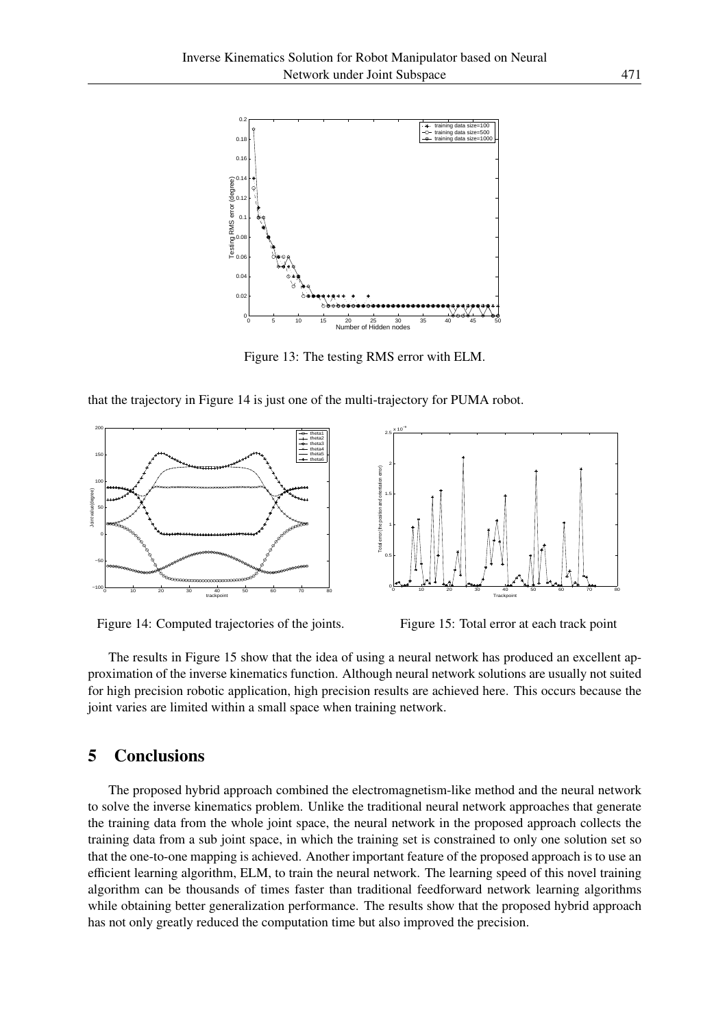

Figure 13: The testing RMS error with ELM.

that the trajectory in Figure 14 is just one of the multi-trajectory for PUMA robot.



Figure 14: Computed trajectories of the joints.



Figure 15: Total error at each track point

The results in Figure 15 show that the idea of using a neural network has produced an excellent approximation of the inverse kinematics function. Although neural network solutions are usually not suited for high precision robotic application, high precision results are achieved here. This occurs because the joint varies are limited within a small space when training network.

# 5 Conclusions

The proposed hybrid approach combined the electromagnetism-like method and the neural network to solve the inverse kinematics problem. Unlike the traditional neural network approaches that generate the training data from the whole joint space, the neural network in the proposed approach collects the training data from a sub joint space, in which the training set is constrained to only one solution set so that the one-to-one mapping is achieved. Another important feature of the proposed approach is to use an efficient learning algorithm, ELM, to train the neural network. The learning speed of this novel training algorithm can be thousands of times faster than traditional feedforward network learning algorithms while obtaining better generalization performance. The results show that the proposed hybrid approach has not only greatly reduced the computation time but also improved the precision.